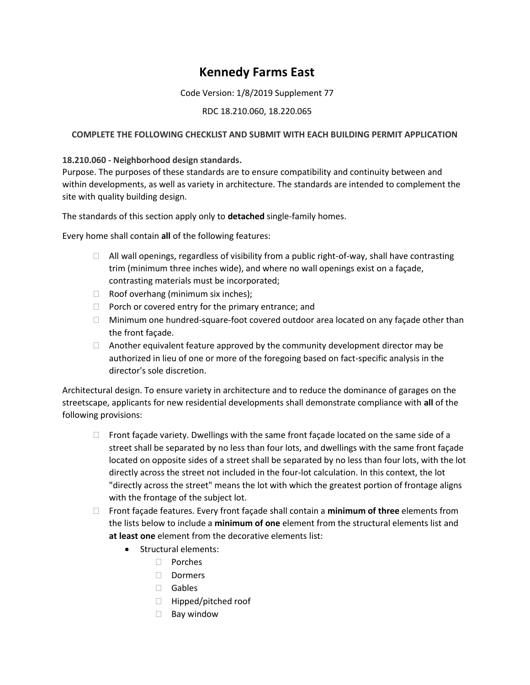# **Kennedy Farms East**

## Code Version: 1/8/2019 Supplement 77

# RDC 18.210.060, 18.220.065

# **COMPLETE THE FOLLOWING CHECKLIST AND SUBMIT WITH EACH BUILDING PERMIT APPLICATION**

## **18.210.060 - Neighborhood design standards.**

Purpose. The purposes of these standards are to ensure compatibility and continuity between and within developments, as well as variety in architecture. The standards are intended to complement the site with quality building design.

The standards of this section apply only to **detached** single-family homes.

Every home shall contain **all** of the following features:

- $\Box$  All wall openings, regardless of visibility from a public right-of-way, shall have contrasting trim (minimum three inches wide), and where no wall openings exist on a façade, contrasting materials must be incorporated;
- $\Box$  Roof overhang (minimum six inches);
- $\Box$  Porch or covered entry for the primary entrance; and
- $\Box$  Minimum one hundred-square-foot covered outdoor area located on any façade other than the front façade.
- $\Box$  Another equivalent feature approved by the community development director may be authorized in lieu of one or more of the foregoing based on fact-specific analysis in the director's sole discretion.

Architectural design. To ensure variety in architecture and to reduce the dominance of garages on the streetscape, applicants for new residential developments shall demonstrate compliance with **all** of the following provisions:

- $\Box$  Front façade variety. Dwellings with the same front façade located on the same side of a street shall be separated by no less than four lots, and dwellings with the same front façade located on opposite sides of a street shall be separated by no less than four lots, with the lot directly across the street not included in the four-lot calculation. In this context, the lot "directly across the street" means the lot with which the greatest portion of frontage aligns with the frontage of the subject lot.
- Front façade features. Every front façade shall contain a **minimum of three** elements from the lists below to include a **minimum of one** element from the structural elements list and **at least one** element from the decorative elements list:
	- Structural elements:
		- Porches
		- □ Dormers
		- Gables
		- $\Box$  Hipped/pitched roof
		- $\Box$  Bay window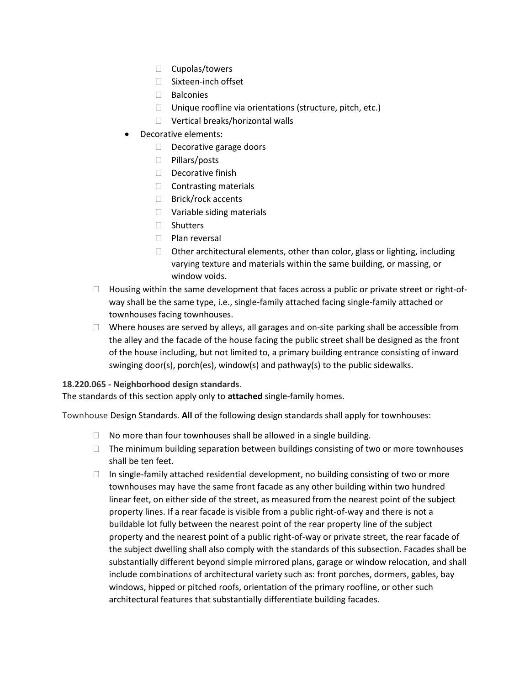- $\Box$  Cupolas/towers
- □ Sixteen-inch offset
- Balconies
- $\Box$  Unique roofline via orientations (structure, pitch, etc.)
- □ Vertical breaks/horizontal walls
- Decorative elements:
	- Decorative garage doors
	- □ Pillars/posts
	- $\Box$  Decorative finish
	- $\Box$  Contrasting materials
	- □ Brick/rock accents
	- □ Variable siding materials
	- □ Shutters
	- D Plan reversal
	- $\Box$  Other architectural elements, other than color, glass or lighting, including varying texture and materials within the same building, or massing, or window voids.
- $\Box$  Housing within the same development that faces across a public or private street or right-ofway shall be the same type, i.e., single-family attached facing single-family attached or townhouses facing townhouses.
- $\Box$  Where houses are served by alleys, all garages and on-site parking shall be accessible from the alley and the facade of the house facing the public street shall be designed as the front of the house including, but not limited to, a primary building entrance consisting of inward swinging door(s), porch(es), window(s) and pathway(s) to the public sidewalks.

## **18.220.065 - Neighborhood design standards.**

The standards of this section apply only to **attached** single-family homes.

Townhouse Design Standards. **All** of the following design standards shall apply for townhouses:

- $\Box$  No more than four townhouses shall be allowed in a single building.
- $\Box$  The minimum building separation between buildings consisting of two or more townhouses shall be ten feet.
- $\Box$  In single-family attached residential development, no building consisting of two or more townhouses may have the same front facade as any other building within two hundred linear feet, on either side of the street, as measured from the nearest point of the subject property lines. If a rear facade is visible from a public right-of-way and there is not a buildable lot fully between the nearest point of the rear property line of the subject property and the nearest point of a public right-of-way or private street, the rear facade of the subject dwelling shall also comply with the standards of this subsection. Facades shall be substantially different beyond simple mirrored plans, garage or window relocation, and shall include combinations of architectural variety such as: front porches, dormers, gables, bay windows, hipped or pitched roofs, orientation of the primary roofline, or other such architectural features that substantially differentiate building facades.